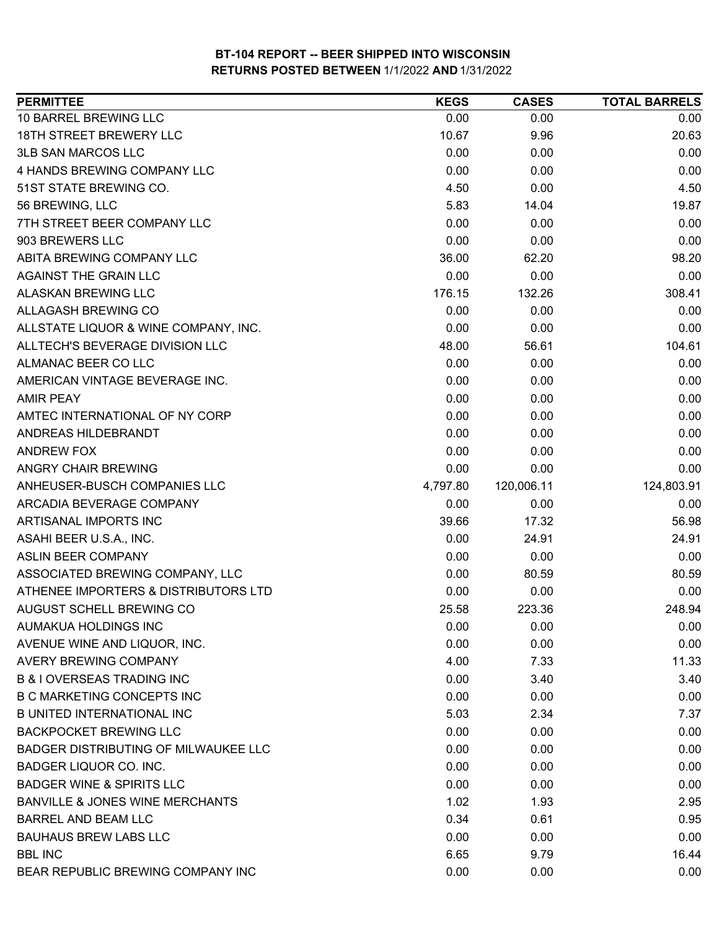| <b>PERMITTEE</b>                            | <b>KEGS</b> | <b>CASES</b> | <b>TOTAL BARRELS</b> |
|---------------------------------------------|-------------|--------------|----------------------|
| 10 BARREL BREWING LLC                       | 0.00        | 0.00         | 0.00                 |
| <b>18TH STREET BREWERY LLC</b>              | 10.67       | 9.96         | 20.63                |
| <b>3LB SAN MARCOS LLC</b>                   | 0.00        | 0.00         | 0.00                 |
| 4 HANDS BREWING COMPANY LLC                 | 0.00        | 0.00         | 0.00                 |
| 51ST STATE BREWING CO.                      | 4.50        | 0.00         | 4.50                 |
| 56 BREWING, LLC                             | 5.83        | 14.04        | 19.87                |
| 7TH STREET BEER COMPANY LLC                 | 0.00        | 0.00         | 0.00                 |
| 903 BREWERS LLC                             | 0.00        | 0.00         | 0.00                 |
| ABITA BREWING COMPANY LLC                   | 36.00       | 62.20        | 98.20                |
| AGAINST THE GRAIN LLC                       | 0.00        | 0.00         | 0.00                 |
| <b>ALASKAN BREWING LLC</b>                  | 176.15      | 132.26       | 308.41               |
| ALLAGASH BREWING CO                         | 0.00        | 0.00         | 0.00                 |
| ALLSTATE LIQUOR & WINE COMPANY, INC.        | 0.00        | 0.00         | 0.00                 |
| ALLTECH'S BEVERAGE DIVISION LLC             | 48.00       | 56.61        | 104.61               |
| ALMANAC BEER CO LLC                         | 0.00        | 0.00         | 0.00                 |
| AMERICAN VINTAGE BEVERAGE INC.              | 0.00        | 0.00         | 0.00                 |
| <b>AMIR PEAY</b>                            | 0.00        | 0.00         | 0.00                 |
| AMTEC INTERNATIONAL OF NY CORP              | 0.00        | 0.00         | 0.00                 |
| ANDREAS HILDEBRANDT                         | 0.00        | 0.00         | 0.00                 |
| <b>ANDREW FOX</b>                           | 0.00        | 0.00         | 0.00                 |
| ANGRY CHAIR BREWING                         | 0.00        | 0.00         | 0.00                 |
| ANHEUSER-BUSCH COMPANIES LLC                | 4,797.80    | 120,006.11   | 124,803.91           |
| ARCADIA BEVERAGE COMPANY                    | 0.00        | 0.00         | 0.00                 |
| ARTISANAL IMPORTS INC                       | 39.66       | 17.32        | 56.98                |
| ASAHI BEER U.S.A., INC.                     | 0.00        | 24.91        | 24.91                |
| <b>ASLIN BEER COMPANY</b>                   | 0.00        | 0.00         | 0.00                 |
| ASSOCIATED BREWING COMPANY, LLC             | 0.00        | 80.59        | 80.59                |
| ATHENEE IMPORTERS & DISTRIBUTORS LTD        | 0.00        | 0.00         | 0.00                 |
| AUGUST SCHELL BREWING CO                    | 25.58       | 223.36       | 248.94               |
| AUMAKUA HOLDINGS INC                        | 0.00        | 0.00         | 0.00                 |
| AVENUE WINE AND LIQUOR, INC.                | 0.00        | 0.00         | 0.00                 |
| AVERY BREWING COMPANY                       | 4.00        | 7.33         | 11.33                |
| <b>B &amp; I OVERSEAS TRADING INC</b>       | 0.00        | 3.40         | 3.40                 |
| <b>B C MARKETING CONCEPTS INC</b>           | 0.00        | 0.00         | 0.00                 |
| <b>B UNITED INTERNATIONAL INC</b>           | 5.03        | 2.34         | 7.37                 |
| <b>BACKPOCKET BREWING LLC</b>               | 0.00        | 0.00         | 0.00                 |
| <b>BADGER DISTRIBUTING OF MILWAUKEE LLC</b> | 0.00        | 0.00         | 0.00                 |
| <b>BADGER LIQUOR CO. INC.</b>               | 0.00        | 0.00         | 0.00                 |
| <b>BADGER WINE &amp; SPIRITS LLC</b>        | 0.00        | 0.00         | 0.00                 |
| BANVILLE & JONES WINE MERCHANTS             | 1.02        | 1.93         | 2.95                 |
| <b>BARREL AND BEAM LLC</b>                  | 0.34        | 0.61         | 0.95                 |
| <b>BAUHAUS BREW LABS LLC</b>                | 0.00        | 0.00         | 0.00                 |
| <b>BBL INC</b>                              | 6.65        | 9.79         | 16.44                |
| BEAR REPUBLIC BREWING COMPANY INC           | 0.00        | 0.00         | 0.00                 |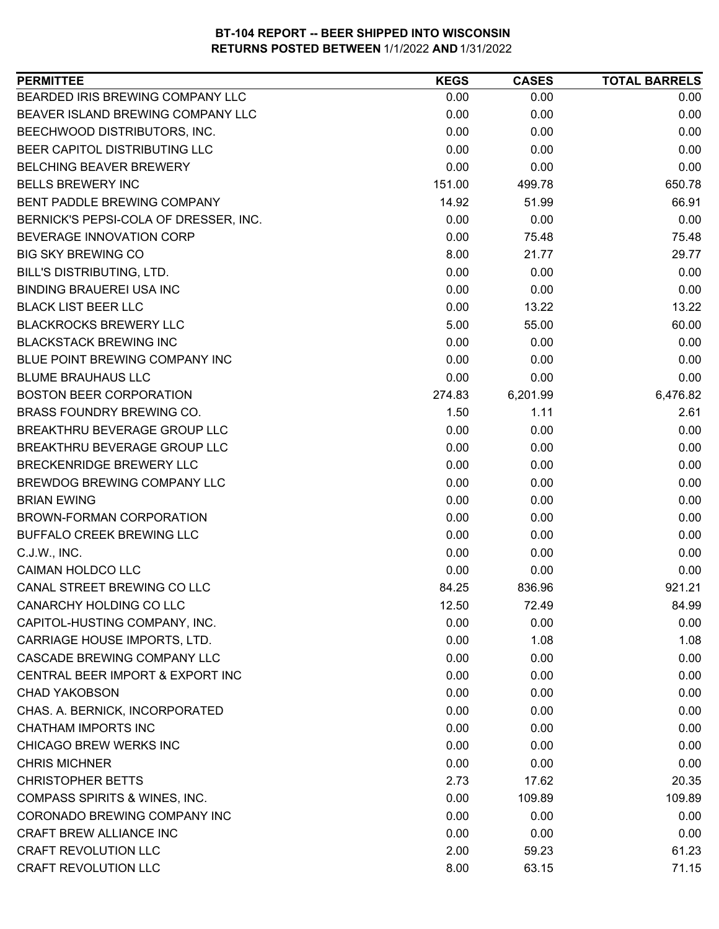| BEARDED IRIS BREWING COMPANY LLC<br>0.00<br>0.00<br>0.00<br>BEAVER ISLAND BREWING COMPANY LLC<br>0.00<br>0.00<br>0.00<br>BEECHWOOD DISTRIBUTORS, INC.<br>0.00<br>0.00<br>0.00<br>BEER CAPITOL DISTRIBUTING LLC<br>0.00<br>0.00<br>0.00<br>0.00<br><b>BELCHING BEAVER BREWERY</b><br>0.00<br>0.00<br><b>BELLS BREWERY INC</b><br>151.00<br>650.78<br>499.78<br>66.91<br>BENT PADDLE BREWING COMPANY<br>14.92<br>51.99<br>0.00<br>0.00<br>0.00<br>BERNICK'S PEPSI-COLA OF DRESSER, INC.<br>0.00<br>BEVERAGE INNOVATION CORP<br>75.48<br>75.48<br><b>BIG SKY BREWING CO</b><br>8.00<br>21.77<br>29.77<br>BILL'S DISTRIBUTING, LTD.<br>0.00<br>0.00<br>0.00<br><b>BINDING BRAUEREI USA INC</b><br>0.00<br>0.00<br>0.00<br>0.00<br><b>BLACK LIST BEER LLC</b><br>13.22<br>13.22 |
|----------------------------------------------------------------------------------------------------------------------------------------------------------------------------------------------------------------------------------------------------------------------------------------------------------------------------------------------------------------------------------------------------------------------------------------------------------------------------------------------------------------------------------------------------------------------------------------------------------------------------------------------------------------------------------------------------------------------------------------------------------------------------|
|                                                                                                                                                                                                                                                                                                                                                                                                                                                                                                                                                                                                                                                                                                                                                                            |
|                                                                                                                                                                                                                                                                                                                                                                                                                                                                                                                                                                                                                                                                                                                                                                            |
|                                                                                                                                                                                                                                                                                                                                                                                                                                                                                                                                                                                                                                                                                                                                                                            |
|                                                                                                                                                                                                                                                                                                                                                                                                                                                                                                                                                                                                                                                                                                                                                                            |
|                                                                                                                                                                                                                                                                                                                                                                                                                                                                                                                                                                                                                                                                                                                                                                            |
|                                                                                                                                                                                                                                                                                                                                                                                                                                                                                                                                                                                                                                                                                                                                                                            |
|                                                                                                                                                                                                                                                                                                                                                                                                                                                                                                                                                                                                                                                                                                                                                                            |
|                                                                                                                                                                                                                                                                                                                                                                                                                                                                                                                                                                                                                                                                                                                                                                            |
|                                                                                                                                                                                                                                                                                                                                                                                                                                                                                                                                                                                                                                                                                                                                                                            |
|                                                                                                                                                                                                                                                                                                                                                                                                                                                                                                                                                                                                                                                                                                                                                                            |
|                                                                                                                                                                                                                                                                                                                                                                                                                                                                                                                                                                                                                                                                                                                                                                            |
|                                                                                                                                                                                                                                                                                                                                                                                                                                                                                                                                                                                                                                                                                                                                                                            |
|                                                                                                                                                                                                                                                                                                                                                                                                                                                                                                                                                                                                                                                                                                                                                                            |
| <b>BLACKROCKS BREWERY LLC</b><br>5.00<br>60.00<br>55.00                                                                                                                                                                                                                                                                                                                                                                                                                                                                                                                                                                                                                                                                                                                    |
| <b>BLACKSTACK BREWING INC</b><br>0.00<br>0.00<br>0.00                                                                                                                                                                                                                                                                                                                                                                                                                                                                                                                                                                                                                                                                                                                      |
| BLUE POINT BREWING COMPANY INC<br>0.00<br>0.00<br>0.00                                                                                                                                                                                                                                                                                                                                                                                                                                                                                                                                                                                                                                                                                                                     |
| 0.00<br><b>BLUME BRAUHAUS LLC</b><br>0.00<br>0.00                                                                                                                                                                                                                                                                                                                                                                                                                                                                                                                                                                                                                                                                                                                          |
| <b>BOSTON BEER CORPORATION</b><br>6,476.82<br>274.83<br>6,201.99                                                                                                                                                                                                                                                                                                                                                                                                                                                                                                                                                                                                                                                                                                           |
| BRASS FOUNDRY BREWING CO.<br>1.50<br>1.11<br>2.61                                                                                                                                                                                                                                                                                                                                                                                                                                                                                                                                                                                                                                                                                                                          |
| <b>BREAKTHRU BEVERAGE GROUP LLC</b><br>0.00<br>0.00<br>0.00                                                                                                                                                                                                                                                                                                                                                                                                                                                                                                                                                                                                                                                                                                                |
| BREAKTHRU BEVERAGE GROUP LLC<br>0.00<br>0.00<br>0.00                                                                                                                                                                                                                                                                                                                                                                                                                                                                                                                                                                                                                                                                                                                       |
| BRECKENRIDGE BREWERY LLC<br>0.00<br>0.00<br>0.00                                                                                                                                                                                                                                                                                                                                                                                                                                                                                                                                                                                                                                                                                                                           |
| BREWDOG BREWING COMPANY LLC<br>0.00<br>0.00<br>0.00                                                                                                                                                                                                                                                                                                                                                                                                                                                                                                                                                                                                                                                                                                                        |
| <b>BRIAN EWING</b><br>0.00<br>0.00<br>0.00                                                                                                                                                                                                                                                                                                                                                                                                                                                                                                                                                                                                                                                                                                                                 |
| BROWN-FORMAN CORPORATION<br>0.00<br>0.00<br>0.00                                                                                                                                                                                                                                                                                                                                                                                                                                                                                                                                                                                                                                                                                                                           |
| BUFFALO CREEK BREWING LLC<br>0.00<br>0.00<br>0.00                                                                                                                                                                                                                                                                                                                                                                                                                                                                                                                                                                                                                                                                                                                          |
| C.J.W., INC.<br>0.00<br>0.00<br>0.00                                                                                                                                                                                                                                                                                                                                                                                                                                                                                                                                                                                                                                                                                                                                       |
| CAIMAN HOLDCO LLC<br>0.00<br>0.00<br>0.00                                                                                                                                                                                                                                                                                                                                                                                                                                                                                                                                                                                                                                                                                                                                  |
| CANAL STREET BREWING CO LLC<br>84.25<br>836.96<br>921.21                                                                                                                                                                                                                                                                                                                                                                                                                                                                                                                                                                                                                                                                                                                   |
| CANARCHY HOLDING CO LLC<br>12.50<br>72.49<br>84.99                                                                                                                                                                                                                                                                                                                                                                                                                                                                                                                                                                                                                                                                                                                         |
| CAPITOL-HUSTING COMPANY, INC.<br>0.00<br>0.00<br>0.00                                                                                                                                                                                                                                                                                                                                                                                                                                                                                                                                                                                                                                                                                                                      |
| <b>CARRIAGE HOUSE IMPORTS, LTD.</b><br>0.00<br>1.08<br>1.08                                                                                                                                                                                                                                                                                                                                                                                                                                                                                                                                                                                                                                                                                                                |
| CASCADE BREWING COMPANY LLC<br>0.00<br>0.00<br>0.00                                                                                                                                                                                                                                                                                                                                                                                                                                                                                                                                                                                                                                                                                                                        |
| CENTRAL BEER IMPORT & EXPORT INC<br>0.00<br>0.00<br>0.00                                                                                                                                                                                                                                                                                                                                                                                                                                                                                                                                                                                                                                                                                                                   |
| 0.00<br><b>CHAD YAKOBSON</b><br>0.00<br>0.00                                                                                                                                                                                                                                                                                                                                                                                                                                                                                                                                                                                                                                                                                                                               |
| CHAS. A. BERNICK, INCORPORATED<br>0.00<br>0.00<br>0.00                                                                                                                                                                                                                                                                                                                                                                                                                                                                                                                                                                                                                                                                                                                     |
| <b>CHATHAM IMPORTS INC</b><br>0.00<br>0.00<br>0.00                                                                                                                                                                                                                                                                                                                                                                                                                                                                                                                                                                                                                                                                                                                         |
| CHICAGO BREW WERKS INC<br>0.00<br>0.00<br>0.00                                                                                                                                                                                                                                                                                                                                                                                                                                                                                                                                                                                                                                                                                                                             |
| <b>CHRIS MICHNER</b><br>0.00<br>0.00<br>0.00                                                                                                                                                                                                                                                                                                                                                                                                                                                                                                                                                                                                                                                                                                                               |
| 20.35<br><b>CHRISTOPHER BETTS</b><br>2.73<br>17.62                                                                                                                                                                                                                                                                                                                                                                                                                                                                                                                                                                                                                                                                                                                         |
| COMPASS SPIRITS & WINES, INC.<br>109.89<br>0.00<br>109.89                                                                                                                                                                                                                                                                                                                                                                                                                                                                                                                                                                                                                                                                                                                  |
| CORONADO BREWING COMPANY INC<br>0.00<br>0.00<br>0.00                                                                                                                                                                                                                                                                                                                                                                                                                                                                                                                                                                                                                                                                                                                       |
| CRAFT BREW ALLIANCE INC<br>0.00<br>0.00<br>0.00                                                                                                                                                                                                                                                                                                                                                                                                                                                                                                                                                                                                                                                                                                                            |
| <b>CRAFT REVOLUTION LLC</b><br>61.23<br>2.00<br>59.23                                                                                                                                                                                                                                                                                                                                                                                                                                                                                                                                                                                                                                                                                                                      |
| <b>CRAFT REVOLUTION LLC</b><br>63.15<br>71.15<br>8.00                                                                                                                                                                                                                                                                                                                                                                                                                                                                                                                                                                                                                                                                                                                      |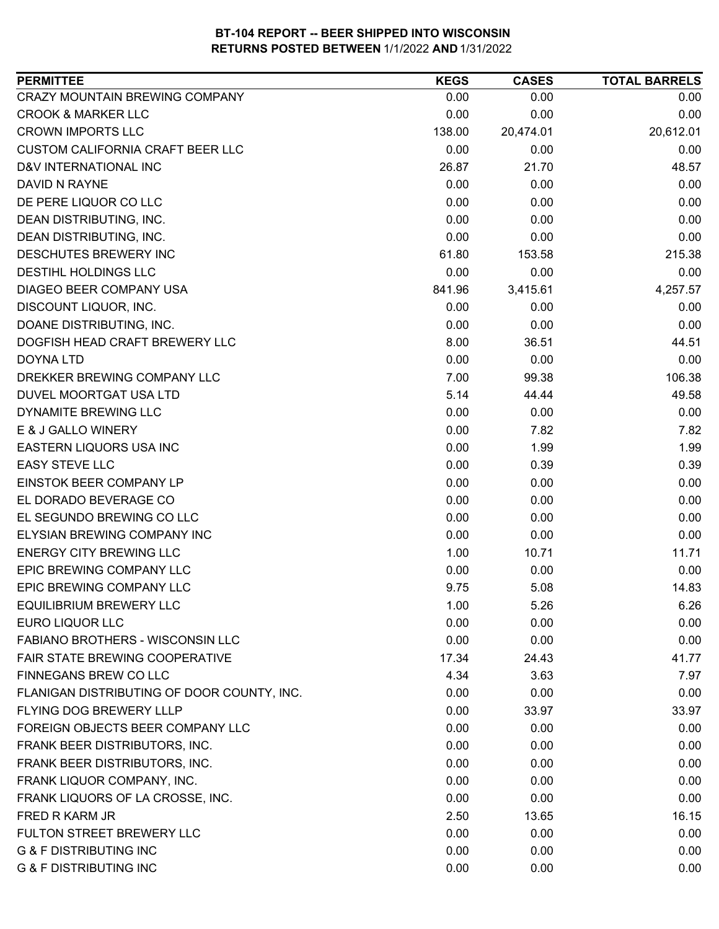| CRAZY MOUNTAIN BREWING COMPANY<br>0.00<br>0.00<br>0.00<br><b>CROOK &amp; MARKER LLC</b><br>0.00<br>0.00<br>0.00<br><b>CROWN IMPORTS LLC</b><br>20,612.01<br>138.00<br>20,474.01<br>CUSTOM CALIFORNIA CRAFT BEER LLC<br>0.00<br>0.00<br>0.00<br>48.57<br>D&V INTERNATIONAL INC<br>26.87<br>21.70<br>DAVID N RAYNE<br>0.00<br>0.00<br>0.00<br>DE PERE LIQUOR CO LLC<br>0.00<br>0.00<br>0.00<br>0.00<br>DEAN DISTRIBUTING, INC.<br>0.00<br>0.00<br>DEAN DISTRIBUTING, INC.<br>0.00<br>0.00<br>0.00<br>DESCHUTES BREWERY INC<br>61.80<br>215.38<br>153.58<br>DESTIHL HOLDINGS LLC<br>0.00<br>0.00<br>0.00<br>DIAGEO BEER COMPANY USA<br>841.96<br>3,415.61<br>4,257.57<br>0.00<br>DISCOUNT LIQUOR, INC.<br>0.00<br>0.00<br>DOANE DISTRIBUTING, INC.<br>0.00<br>0.00<br>0.00<br>DOGFISH HEAD CRAFT BREWERY LLC<br>8.00<br>36.51<br>44.51<br>0.00<br>0.00<br>0.00<br><b>DOYNA LTD</b><br>7.00<br>106.38<br>99.38<br>DREKKER BREWING COMPANY LLC<br>5.14<br>49.58<br>DUVEL MOORTGAT USA LTD<br>44.44<br>DYNAMITE BREWING LLC<br>0.00<br>0.00<br>0.00<br>E & J GALLO WINERY<br>0.00<br>7.82<br>7.82<br>EASTERN LIQUORS USA INC<br>0.00<br>1.99<br>1.99<br><b>EASY STEVE LLC</b><br>0.00<br>0.39<br>0.39<br>EINSTOK BEER COMPANY LP<br>0.00<br>0.00<br>0.00<br>EL DORADO BEVERAGE CO<br>0.00<br>0.00<br>0.00<br>0.00<br>EL SEGUNDO BREWING CO LLC<br>0.00<br>0.00<br><b>ELYSIAN BREWING COMPANY INC</b><br>0.00<br>0.00<br>0.00<br><b>ENERGY CITY BREWING LLC</b><br>1.00<br>11.71<br>10.71<br>EPIC BREWING COMPANY LLC<br>0.00<br>0.00<br>0.00<br>EPIC BREWING COMPANY LLC<br>9.75<br>5.08<br>14.83<br><b>EQUILIBRIUM BREWERY LLC</b><br>1.00<br>6.26<br>5.26<br>0.00<br>0.00<br>0.00<br>EURO LIQUOR LLC<br><b>FABIANO BROTHERS - WISCONSIN LLC</b><br>0.00<br>0.00<br>0.00<br>FAIR STATE BREWING COOPERATIVE<br>17.34<br>24.43<br>41.77<br>FINNEGANS BREW CO LLC<br>7.97<br>4.34<br>3.63<br>FLANIGAN DISTRIBUTING OF DOOR COUNTY, INC.<br>0.00<br>0.00<br>0.00<br>FLYING DOG BREWERY LLLP<br>0.00<br>33.97<br>33.97<br>FOREIGN OBJECTS BEER COMPANY LLC<br>0.00<br>0.00<br>0.00<br>FRANK BEER DISTRIBUTORS, INC.<br>0.00<br>0.00<br>0.00<br>FRANK BEER DISTRIBUTORS, INC.<br>0.00<br>0.00<br>0.00<br>0.00<br>FRANK LIQUOR COMPANY, INC.<br>0.00<br>0.00<br>0.00<br>0.00<br>FRANK LIQUORS OF LA CROSSE, INC.<br>0.00<br>FRED R KARM JR<br>16.15<br>2.50<br>13.65<br>FULTON STREET BREWERY LLC<br>0.00<br>0.00<br>0.00<br><b>G &amp; F DISTRIBUTING INC</b><br>0.00<br>0.00<br>0.00 | <b>PERMITTEE</b>                  | <b>KEGS</b> | <b>CASES</b> | <b>TOTAL BARRELS</b> |
|----------------------------------------------------------------------------------------------------------------------------------------------------------------------------------------------------------------------------------------------------------------------------------------------------------------------------------------------------------------------------------------------------------------------------------------------------------------------------------------------------------------------------------------------------------------------------------------------------------------------------------------------------------------------------------------------------------------------------------------------------------------------------------------------------------------------------------------------------------------------------------------------------------------------------------------------------------------------------------------------------------------------------------------------------------------------------------------------------------------------------------------------------------------------------------------------------------------------------------------------------------------------------------------------------------------------------------------------------------------------------------------------------------------------------------------------------------------------------------------------------------------------------------------------------------------------------------------------------------------------------------------------------------------------------------------------------------------------------------------------------------------------------------------------------------------------------------------------------------------------------------------------------------------------------------------------------------------------------------------------------------------------------------------------------------------------------------------------------------------------------------------------------------------------------------------------------------------------------------------------------------------------------------------------------------------------------------------------------------------------------------------------------------------------------------------------------------------------------|-----------------------------------|-------------|--------------|----------------------|
|                                                                                                                                                                                                                                                                                                                                                                                                                                                                                                                                                                                                                                                                                                                                                                                                                                                                                                                                                                                                                                                                                                                                                                                                                                                                                                                                                                                                                                                                                                                                                                                                                                                                                                                                                                                                                                                                                                                                                                                                                                                                                                                                                                                                                                                                                                                                                                                                                                                                            |                                   |             |              |                      |
|                                                                                                                                                                                                                                                                                                                                                                                                                                                                                                                                                                                                                                                                                                                                                                                                                                                                                                                                                                                                                                                                                                                                                                                                                                                                                                                                                                                                                                                                                                                                                                                                                                                                                                                                                                                                                                                                                                                                                                                                                                                                                                                                                                                                                                                                                                                                                                                                                                                                            |                                   |             |              |                      |
|                                                                                                                                                                                                                                                                                                                                                                                                                                                                                                                                                                                                                                                                                                                                                                                                                                                                                                                                                                                                                                                                                                                                                                                                                                                                                                                                                                                                                                                                                                                                                                                                                                                                                                                                                                                                                                                                                                                                                                                                                                                                                                                                                                                                                                                                                                                                                                                                                                                                            |                                   |             |              |                      |
|                                                                                                                                                                                                                                                                                                                                                                                                                                                                                                                                                                                                                                                                                                                                                                                                                                                                                                                                                                                                                                                                                                                                                                                                                                                                                                                                                                                                                                                                                                                                                                                                                                                                                                                                                                                                                                                                                                                                                                                                                                                                                                                                                                                                                                                                                                                                                                                                                                                                            |                                   |             |              |                      |
|                                                                                                                                                                                                                                                                                                                                                                                                                                                                                                                                                                                                                                                                                                                                                                                                                                                                                                                                                                                                                                                                                                                                                                                                                                                                                                                                                                                                                                                                                                                                                                                                                                                                                                                                                                                                                                                                                                                                                                                                                                                                                                                                                                                                                                                                                                                                                                                                                                                                            |                                   |             |              |                      |
|                                                                                                                                                                                                                                                                                                                                                                                                                                                                                                                                                                                                                                                                                                                                                                                                                                                                                                                                                                                                                                                                                                                                                                                                                                                                                                                                                                                                                                                                                                                                                                                                                                                                                                                                                                                                                                                                                                                                                                                                                                                                                                                                                                                                                                                                                                                                                                                                                                                                            |                                   |             |              |                      |
|                                                                                                                                                                                                                                                                                                                                                                                                                                                                                                                                                                                                                                                                                                                                                                                                                                                                                                                                                                                                                                                                                                                                                                                                                                                                                                                                                                                                                                                                                                                                                                                                                                                                                                                                                                                                                                                                                                                                                                                                                                                                                                                                                                                                                                                                                                                                                                                                                                                                            |                                   |             |              |                      |
|                                                                                                                                                                                                                                                                                                                                                                                                                                                                                                                                                                                                                                                                                                                                                                                                                                                                                                                                                                                                                                                                                                                                                                                                                                                                                                                                                                                                                                                                                                                                                                                                                                                                                                                                                                                                                                                                                                                                                                                                                                                                                                                                                                                                                                                                                                                                                                                                                                                                            |                                   |             |              |                      |
|                                                                                                                                                                                                                                                                                                                                                                                                                                                                                                                                                                                                                                                                                                                                                                                                                                                                                                                                                                                                                                                                                                                                                                                                                                                                                                                                                                                                                                                                                                                                                                                                                                                                                                                                                                                                                                                                                                                                                                                                                                                                                                                                                                                                                                                                                                                                                                                                                                                                            |                                   |             |              |                      |
|                                                                                                                                                                                                                                                                                                                                                                                                                                                                                                                                                                                                                                                                                                                                                                                                                                                                                                                                                                                                                                                                                                                                                                                                                                                                                                                                                                                                                                                                                                                                                                                                                                                                                                                                                                                                                                                                                                                                                                                                                                                                                                                                                                                                                                                                                                                                                                                                                                                                            |                                   |             |              |                      |
|                                                                                                                                                                                                                                                                                                                                                                                                                                                                                                                                                                                                                                                                                                                                                                                                                                                                                                                                                                                                                                                                                                                                                                                                                                                                                                                                                                                                                                                                                                                                                                                                                                                                                                                                                                                                                                                                                                                                                                                                                                                                                                                                                                                                                                                                                                                                                                                                                                                                            |                                   |             |              |                      |
|                                                                                                                                                                                                                                                                                                                                                                                                                                                                                                                                                                                                                                                                                                                                                                                                                                                                                                                                                                                                                                                                                                                                                                                                                                                                                                                                                                                                                                                                                                                                                                                                                                                                                                                                                                                                                                                                                                                                                                                                                                                                                                                                                                                                                                                                                                                                                                                                                                                                            |                                   |             |              |                      |
|                                                                                                                                                                                                                                                                                                                                                                                                                                                                                                                                                                                                                                                                                                                                                                                                                                                                                                                                                                                                                                                                                                                                                                                                                                                                                                                                                                                                                                                                                                                                                                                                                                                                                                                                                                                                                                                                                                                                                                                                                                                                                                                                                                                                                                                                                                                                                                                                                                                                            |                                   |             |              |                      |
|                                                                                                                                                                                                                                                                                                                                                                                                                                                                                                                                                                                                                                                                                                                                                                                                                                                                                                                                                                                                                                                                                                                                                                                                                                                                                                                                                                                                                                                                                                                                                                                                                                                                                                                                                                                                                                                                                                                                                                                                                                                                                                                                                                                                                                                                                                                                                                                                                                                                            |                                   |             |              |                      |
|                                                                                                                                                                                                                                                                                                                                                                                                                                                                                                                                                                                                                                                                                                                                                                                                                                                                                                                                                                                                                                                                                                                                                                                                                                                                                                                                                                                                                                                                                                                                                                                                                                                                                                                                                                                                                                                                                                                                                                                                                                                                                                                                                                                                                                                                                                                                                                                                                                                                            |                                   |             |              |                      |
|                                                                                                                                                                                                                                                                                                                                                                                                                                                                                                                                                                                                                                                                                                                                                                                                                                                                                                                                                                                                                                                                                                                                                                                                                                                                                                                                                                                                                                                                                                                                                                                                                                                                                                                                                                                                                                                                                                                                                                                                                                                                                                                                                                                                                                                                                                                                                                                                                                                                            |                                   |             |              |                      |
|                                                                                                                                                                                                                                                                                                                                                                                                                                                                                                                                                                                                                                                                                                                                                                                                                                                                                                                                                                                                                                                                                                                                                                                                                                                                                                                                                                                                                                                                                                                                                                                                                                                                                                                                                                                                                                                                                                                                                                                                                                                                                                                                                                                                                                                                                                                                                                                                                                                                            |                                   |             |              |                      |
|                                                                                                                                                                                                                                                                                                                                                                                                                                                                                                                                                                                                                                                                                                                                                                                                                                                                                                                                                                                                                                                                                                                                                                                                                                                                                                                                                                                                                                                                                                                                                                                                                                                                                                                                                                                                                                                                                                                                                                                                                                                                                                                                                                                                                                                                                                                                                                                                                                                                            |                                   |             |              |                      |
|                                                                                                                                                                                                                                                                                                                                                                                                                                                                                                                                                                                                                                                                                                                                                                                                                                                                                                                                                                                                                                                                                                                                                                                                                                                                                                                                                                                                                                                                                                                                                                                                                                                                                                                                                                                                                                                                                                                                                                                                                                                                                                                                                                                                                                                                                                                                                                                                                                                                            |                                   |             |              |                      |
|                                                                                                                                                                                                                                                                                                                                                                                                                                                                                                                                                                                                                                                                                                                                                                                                                                                                                                                                                                                                                                                                                                                                                                                                                                                                                                                                                                                                                                                                                                                                                                                                                                                                                                                                                                                                                                                                                                                                                                                                                                                                                                                                                                                                                                                                                                                                                                                                                                                                            |                                   |             |              |                      |
|                                                                                                                                                                                                                                                                                                                                                                                                                                                                                                                                                                                                                                                                                                                                                                                                                                                                                                                                                                                                                                                                                                                                                                                                                                                                                                                                                                                                                                                                                                                                                                                                                                                                                                                                                                                                                                                                                                                                                                                                                                                                                                                                                                                                                                                                                                                                                                                                                                                                            |                                   |             |              |                      |
|                                                                                                                                                                                                                                                                                                                                                                                                                                                                                                                                                                                                                                                                                                                                                                                                                                                                                                                                                                                                                                                                                                                                                                                                                                                                                                                                                                                                                                                                                                                                                                                                                                                                                                                                                                                                                                                                                                                                                                                                                                                                                                                                                                                                                                                                                                                                                                                                                                                                            |                                   |             |              |                      |
|                                                                                                                                                                                                                                                                                                                                                                                                                                                                                                                                                                                                                                                                                                                                                                                                                                                                                                                                                                                                                                                                                                                                                                                                                                                                                                                                                                                                                                                                                                                                                                                                                                                                                                                                                                                                                                                                                                                                                                                                                                                                                                                                                                                                                                                                                                                                                                                                                                                                            |                                   |             |              |                      |
|                                                                                                                                                                                                                                                                                                                                                                                                                                                                                                                                                                                                                                                                                                                                                                                                                                                                                                                                                                                                                                                                                                                                                                                                                                                                                                                                                                                                                                                                                                                                                                                                                                                                                                                                                                                                                                                                                                                                                                                                                                                                                                                                                                                                                                                                                                                                                                                                                                                                            |                                   |             |              |                      |
|                                                                                                                                                                                                                                                                                                                                                                                                                                                                                                                                                                                                                                                                                                                                                                                                                                                                                                                                                                                                                                                                                                                                                                                                                                                                                                                                                                                                                                                                                                                                                                                                                                                                                                                                                                                                                                                                                                                                                                                                                                                                                                                                                                                                                                                                                                                                                                                                                                                                            |                                   |             |              |                      |
|                                                                                                                                                                                                                                                                                                                                                                                                                                                                                                                                                                                                                                                                                                                                                                                                                                                                                                                                                                                                                                                                                                                                                                                                                                                                                                                                                                                                                                                                                                                                                                                                                                                                                                                                                                                                                                                                                                                                                                                                                                                                                                                                                                                                                                                                                                                                                                                                                                                                            |                                   |             |              |                      |
|                                                                                                                                                                                                                                                                                                                                                                                                                                                                                                                                                                                                                                                                                                                                                                                                                                                                                                                                                                                                                                                                                                                                                                                                                                                                                                                                                                                                                                                                                                                                                                                                                                                                                                                                                                                                                                                                                                                                                                                                                                                                                                                                                                                                                                                                                                                                                                                                                                                                            |                                   |             |              |                      |
|                                                                                                                                                                                                                                                                                                                                                                                                                                                                                                                                                                                                                                                                                                                                                                                                                                                                                                                                                                                                                                                                                                                                                                                                                                                                                                                                                                                                                                                                                                                                                                                                                                                                                                                                                                                                                                                                                                                                                                                                                                                                                                                                                                                                                                                                                                                                                                                                                                                                            |                                   |             |              |                      |
|                                                                                                                                                                                                                                                                                                                                                                                                                                                                                                                                                                                                                                                                                                                                                                                                                                                                                                                                                                                                                                                                                                                                                                                                                                                                                                                                                                                                                                                                                                                                                                                                                                                                                                                                                                                                                                                                                                                                                                                                                                                                                                                                                                                                                                                                                                                                                                                                                                                                            |                                   |             |              |                      |
|                                                                                                                                                                                                                                                                                                                                                                                                                                                                                                                                                                                                                                                                                                                                                                                                                                                                                                                                                                                                                                                                                                                                                                                                                                                                                                                                                                                                                                                                                                                                                                                                                                                                                                                                                                                                                                                                                                                                                                                                                                                                                                                                                                                                                                                                                                                                                                                                                                                                            |                                   |             |              |                      |
|                                                                                                                                                                                                                                                                                                                                                                                                                                                                                                                                                                                                                                                                                                                                                                                                                                                                                                                                                                                                                                                                                                                                                                                                                                                                                                                                                                                                                                                                                                                                                                                                                                                                                                                                                                                                                                                                                                                                                                                                                                                                                                                                                                                                                                                                                                                                                                                                                                                                            |                                   |             |              |                      |
|                                                                                                                                                                                                                                                                                                                                                                                                                                                                                                                                                                                                                                                                                                                                                                                                                                                                                                                                                                                                                                                                                                                                                                                                                                                                                                                                                                                                                                                                                                                                                                                                                                                                                                                                                                                                                                                                                                                                                                                                                                                                                                                                                                                                                                                                                                                                                                                                                                                                            |                                   |             |              |                      |
|                                                                                                                                                                                                                                                                                                                                                                                                                                                                                                                                                                                                                                                                                                                                                                                                                                                                                                                                                                                                                                                                                                                                                                                                                                                                                                                                                                                                                                                                                                                                                                                                                                                                                                                                                                                                                                                                                                                                                                                                                                                                                                                                                                                                                                                                                                                                                                                                                                                                            |                                   |             |              |                      |
|                                                                                                                                                                                                                                                                                                                                                                                                                                                                                                                                                                                                                                                                                                                                                                                                                                                                                                                                                                                                                                                                                                                                                                                                                                                                                                                                                                                                                                                                                                                                                                                                                                                                                                                                                                                                                                                                                                                                                                                                                                                                                                                                                                                                                                                                                                                                                                                                                                                                            |                                   |             |              |                      |
|                                                                                                                                                                                                                                                                                                                                                                                                                                                                                                                                                                                                                                                                                                                                                                                                                                                                                                                                                                                                                                                                                                                                                                                                                                                                                                                                                                                                                                                                                                                                                                                                                                                                                                                                                                                                                                                                                                                                                                                                                                                                                                                                                                                                                                                                                                                                                                                                                                                                            |                                   |             |              |                      |
|                                                                                                                                                                                                                                                                                                                                                                                                                                                                                                                                                                                                                                                                                                                                                                                                                                                                                                                                                                                                                                                                                                                                                                                                                                                                                                                                                                                                                                                                                                                                                                                                                                                                                                                                                                                                                                                                                                                                                                                                                                                                                                                                                                                                                                                                                                                                                                                                                                                                            |                                   |             |              |                      |
|                                                                                                                                                                                                                                                                                                                                                                                                                                                                                                                                                                                                                                                                                                                                                                                                                                                                                                                                                                                                                                                                                                                                                                                                                                                                                                                                                                                                                                                                                                                                                                                                                                                                                                                                                                                                                                                                                                                                                                                                                                                                                                                                                                                                                                                                                                                                                                                                                                                                            |                                   |             |              |                      |
|                                                                                                                                                                                                                                                                                                                                                                                                                                                                                                                                                                                                                                                                                                                                                                                                                                                                                                                                                                                                                                                                                                                                                                                                                                                                                                                                                                                                                                                                                                                                                                                                                                                                                                                                                                                                                                                                                                                                                                                                                                                                                                                                                                                                                                                                                                                                                                                                                                                                            |                                   |             |              |                      |
|                                                                                                                                                                                                                                                                                                                                                                                                                                                                                                                                                                                                                                                                                                                                                                                                                                                                                                                                                                                                                                                                                                                                                                                                                                                                                                                                                                                                                                                                                                                                                                                                                                                                                                                                                                                                                                                                                                                                                                                                                                                                                                                                                                                                                                                                                                                                                                                                                                                                            |                                   |             |              |                      |
|                                                                                                                                                                                                                                                                                                                                                                                                                                                                                                                                                                                                                                                                                                                                                                                                                                                                                                                                                                                                                                                                                                                                                                                                                                                                                                                                                                                                                                                                                                                                                                                                                                                                                                                                                                                                                                                                                                                                                                                                                                                                                                                                                                                                                                                                                                                                                                                                                                                                            |                                   |             |              |                      |
|                                                                                                                                                                                                                                                                                                                                                                                                                                                                                                                                                                                                                                                                                                                                                                                                                                                                                                                                                                                                                                                                                                                                                                                                                                                                                                                                                                                                                                                                                                                                                                                                                                                                                                                                                                                                                                                                                                                                                                                                                                                                                                                                                                                                                                                                                                                                                                                                                                                                            |                                   |             |              |                      |
|                                                                                                                                                                                                                                                                                                                                                                                                                                                                                                                                                                                                                                                                                                                                                                                                                                                                                                                                                                                                                                                                                                                                                                                                                                                                                                                                                                                                                                                                                                                                                                                                                                                                                                                                                                                                                                                                                                                                                                                                                                                                                                                                                                                                                                                                                                                                                                                                                                                                            |                                   |             |              |                      |
|                                                                                                                                                                                                                                                                                                                                                                                                                                                                                                                                                                                                                                                                                                                                                                                                                                                                                                                                                                                                                                                                                                                                                                                                                                                                                                                                                                                                                                                                                                                                                                                                                                                                                                                                                                                                                                                                                                                                                                                                                                                                                                                                                                                                                                                                                                                                                                                                                                                                            |                                   |             |              |                      |
|                                                                                                                                                                                                                                                                                                                                                                                                                                                                                                                                                                                                                                                                                                                                                                                                                                                                                                                                                                                                                                                                                                                                                                                                                                                                                                                                                                                                                                                                                                                                                                                                                                                                                                                                                                                                                                                                                                                                                                                                                                                                                                                                                                                                                                                                                                                                                                                                                                                                            |                                   |             |              |                      |
|                                                                                                                                                                                                                                                                                                                                                                                                                                                                                                                                                                                                                                                                                                                                                                                                                                                                                                                                                                                                                                                                                                                                                                                                                                                                                                                                                                                                                                                                                                                                                                                                                                                                                                                                                                                                                                                                                                                                                                                                                                                                                                                                                                                                                                                                                                                                                                                                                                                                            | <b>G &amp; F DISTRIBUTING INC</b> | 0.00        | 0.00         | 0.00                 |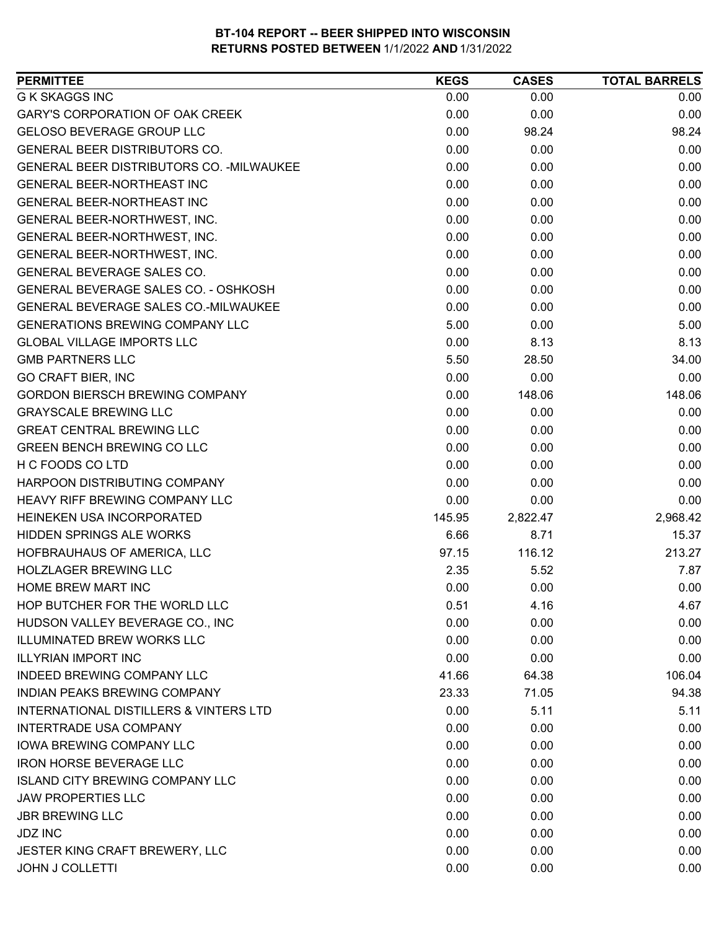| <b>PERMITTEE</b>                                  | <b>KEGS</b> | <b>CASES</b> | <b>TOTAL BARRELS</b> |
|---------------------------------------------------|-------------|--------------|----------------------|
| <b>G K SKAGGS INC</b>                             | 0.00        | 0.00         | 0.00                 |
| GARY'S CORPORATION OF OAK CREEK                   | 0.00        | 0.00         | 0.00                 |
| <b>GELOSO BEVERAGE GROUP LLC</b>                  | 0.00        | 98.24        | 98.24                |
| <b>GENERAL BEER DISTRIBUTORS CO.</b>              | 0.00        | 0.00         | 0.00                 |
| GENERAL BEER DISTRIBUTORS CO. - MILWAUKEE         | 0.00        | 0.00         | 0.00                 |
| <b>GENERAL BEER-NORTHEAST INC</b>                 | 0.00        | 0.00         | 0.00                 |
| <b>GENERAL BEER-NORTHEAST INC</b>                 | 0.00        | 0.00         | 0.00                 |
| GENERAL BEER-NORTHWEST, INC.                      | 0.00        | 0.00         | 0.00                 |
| GENERAL BEER-NORTHWEST, INC.                      | 0.00        | 0.00         | 0.00                 |
| GENERAL BEER-NORTHWEST, INC.                      | 0.00        | 0.00         | 0.00                 |
| GENERAL BEVERAGE SALES CO.                        | 0.00        | 0.00         | 0.00                 |
| GENERAL BEVERAGE SALES CO. - OSHKOSH              | 0.00        | 0.00         | 0.00                 |
| <b>GENERAL BEVERAGE SALES CO.-MILWAUKEE</b>       | 0.00        | 0.00         | 0.00                 |
| <b>GENERATIONS BREWING COMPANY LLC</b>            | 5.00        | 0.00         | 5.00                 |
| <b>GLOBAL VILLAGE IMPORTS LLC</b>                 | 0.00        | 8.13         | 8.13                 |
| <b>GMB PARTNERS LLC</b>                           | 5.50        | 28.50        | 34.00                |
| <b>GO CRAFT BIER, INC</b>                         | 0.00        | 0.00         | 0.00                 |
| <b>GORDON BIERSCH BREWING COMPANY</b>             | 0.00        | 148.06       | 148.06               |
| <b>GRAYSCALE BREWING LLC</b>                      | 0.00        | 0.00         | 0.00                 |
| <b>GREAT CENTRAL BREWING LLC</b>                  | 0.00        | 0.00         | 0.00                 |
| <b>GREEN BENCH BREWING CO LLC</b>                 | 0.00        | 0.00         | 0.00                 |
| H C FOODS CO LTD                                  | 0.00        | 0.00         | 0.00                 |
| HARPOON DISTRIBUTING COMPANY                      | 0.00        | 0.00         | 0.00                 |
| <b>HEAVY RIFF BREWING COMPANY LLC</b>             | 0.00        | 0.00         | 0.00                 |
| HEINEKEN USA INCORPORATED                         | 145.95      | 2,822.47     | 2,968.42             |
| HIDDEN SPRINGS ALE WORKS                          | 6.66        | 8.71         | 15.37                |
| HOFBRAUHAUS OF AMERICA, LLC                       | 97.15       | 116.12       | 213.27               |
| <b>HOLZLAGER BREWING LLC</b>                      | 2.35        | 5.52         | 7.87                 |
| HOME BREW MART INC                                | 0.00        | 0.00         | 0.00                 |
| HOP BUTCHER FOR THE WORLD LLC                     | 0.51        | 4.16         | 4.67                 |
| HUDSON VALLEY BEVERAGE CO., INC                   | 0.00        | 0.00         | 0.00                 |
| <b>ILLUMINATED BREW WORKS LLC</b>                 | 0.00        | 0.00         | 0.00                 |
| <b>ILLYRIAN IMPORT INC</b>                        | 0.00        | 0.00         | 0.00                 |
| <b>INDEED BREWING COMPANY LLC</b>                 | 41.66       | 64.38        | 106.04               |
| INDIAN PEAKS BREWING COMPANY                      | 23.33       | 71.05        | 94.38                |
| <b>INTERNATIONAL DISTILLERS &amp; VINTERS LTD</b> | 0.00        | 5.11         | 5.11                 |
| <b>INTERTRADE USA COMPANY</b>                     | 0.00        | 0.00         | 0.00                 |
| <b>IOWA BREWING COMPANY LLC</b>                   | 0.00        | 0.00         | 0.00                 |
| <b>IRON HORSE BEVERAGE LLC</b>                    | 0.00        | 0.00         | 0.00                 |
| <b>ISLAND CITY BREWING COMPANY LLC</b>            | 0.00        | 0.00         | 0.00                 |
| <b>JAW PROPERTIES LLC</b>                         | 0.00        | 0.00         | 0.00                 |
| <b>JBR BREWING LLC</b>                            | 0.00        | 0.00         | 0.00                 |
| <b>JDZ INC</b>                                    | 0.00        | 0.00         | 0.00                 |
| JESTER KING CRAFT BREWERY, LLC                    | 0.00        | 0.00         | 0.00                 |
| <b>JOHN J COLLETTI</b>                            | 0.00        | 0.00         | 0.00                 |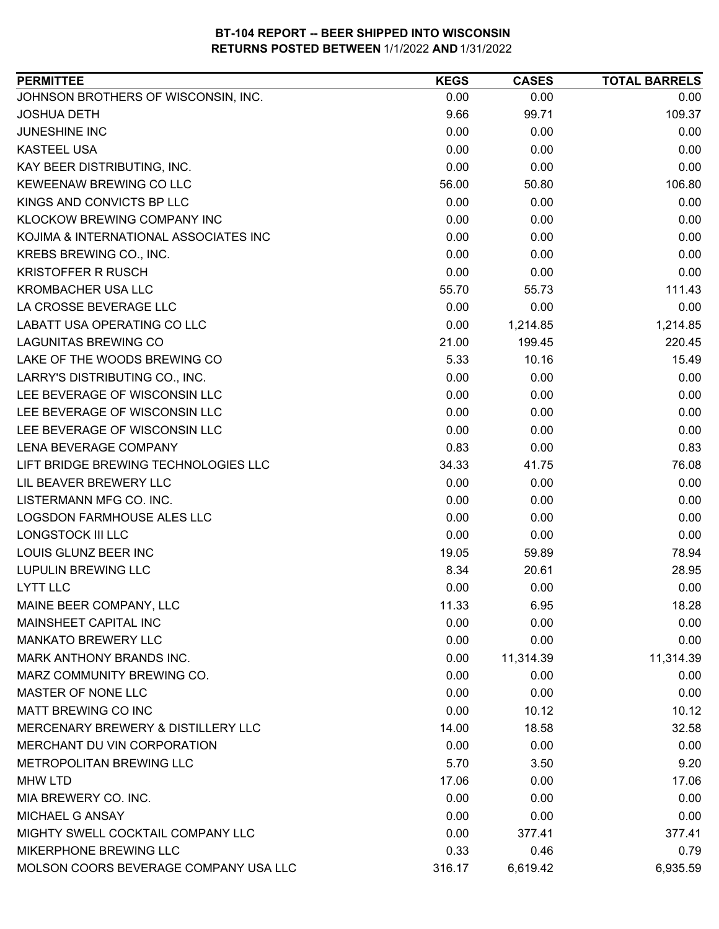| <b>PERMITTEE</b>                      | <b>KEGS</b> | <b>CASES</b> | <b>TOTAL BARRELS</b> |
|---------------------------------------|-------------|--------------|----------------------|
| JOHNSON BROTHERS OF WISCONSIN, INC.   | 0.00        | 0.00         | 0.00                 |
| <b>JOSHUA DETH</b>                    | 9.66        | 99.71        | 109.37               |
| JUNESHINE INC                         | 0.00        | 0.00         | 0.00                 |
| <b>KASTEEL USA</b>                    | 0.00        | 0.00         | 0.00                 |
| KAY BEER DISTRIBUTING, INC.           | 0.00        | 0.00         | 0.00                 |
| KEWEENAW BREWING CO LLC               | 56.00       | 50.80        | 106.80               |
| KINGS AND CONVICTS BP LLC             | 0.00        | 0.00         | 0.00                 |
| KLOCKOW BREWING COMPANY INC           | 0.00        | 0.00         | 0.00                 |
| KOJIMA & INTERNATIONAL ASSOCIATES INC | 0.00        | 0.00         | 0.00                 |
| KREBS BREWING CO., INC.               | 0.00        | 0.00         | 0.00                 |
| <b>KRISTOFFER R RUSCH</b>             | 0.00        | 0.00         | 0.00                 |
| <b>KROMBACHER USA LLC</b>             | 55.70       | 55.73        | 111.43               |
| LA CROSSE BEVERAGE LLC                | 0.00        | 0.00         | 0.00                 |
| LABATT USA OPERATING CO LLC           | 0.00        | 1,214.85     | 1,214.85             |
| <b>LAGUNITAS BREWING CO</b>           | 21.00       | 199.45       | 220.45               |
| LAKE OF THE WOODS BREWING CO          | 5.33        | 10.16        | 15.49                |
| LARRY'S DISTRIBUTING CO., INC.        | 0.00        | 0.00         | 0.00                 |
| LEE BEVERAGE OF WISCONSIN LLC         | 0.00        | 0.00         | 0.00                 |
| LEE BEVERAGE OF WISCONSIN LLC         | 0.00        | 0.00         | 0.00                 |
| LEE BEVERAGE OF WISCONSIN LLC         | 0.00        | 0.00         | 0.00                 |
| LENA BEVERAGE COMPANY                 | 0.83        | 0.00         | 0.83                 |
| LIFT BRIDGE BREWING TECHNOLOGIES LLC  | 34.33       | 41.75        | 76.08                |
| LIL BEAVER BREWERY LLC                | 0.00        | 0.00         | 0.00                 |
| LISTERMANN MFG CO. INC.               | 0.00        | 0.00         | 0.00                 |
| LOGSDON FARMHOUSE ALES LLC            | 0.00        | 0.00         | 0.00                 |
| <b>LONGSTOCK III LLC</b>              | 0.00        | 0.00         | 0.00                 |
| LOUIS GLUNZ BEER INC                  | 19.05       | 59.89        | 78.94                |
| <b>LUPULIN BREWING LLC</b>            | 8.34        | 20.61        | 28.95                |
| <b>LYTT LLC</b>                       | 0.00        | 0.00         | 0.00                 |
| MAINE BEER COMPANY, LLC               | 11.33       | 6.95         | 18.28                |
| MAINSHEET CAPITAL INC                 | 0.00        | 0.00         | 0.00                 |
| <b>MANKATO BREWERY LLC</b>            | 0.00        | 0.00         | 0.00                 |
| MARK ANTHONY BRANDS INC.              | 0.00        | 11,314.39    | 11,314.39            |
| MARZ COMMUNITY BREWING CO.            | 0.00        | 0.00         | 0.00                 |
| MASTER OF NONE LLC                    | 0.00        | 0.00         | 0.00                 |
| <b>MATT BREWING CO INC</b>            | 0.00        | 10.12        | 10.12                |
| MERCENARY BREWERY & DISTILLERY LLC    | 14.00       | 18.58        | 32.58                |
| MERCHANT DU VIN CORPORATION           | 0.00        | 0.00         | 0.00                 |
| METROPOLITAN BREWING LLC              | 5.70        | 3.50         | 9.20                 |
| MHW LTD                               | 17.06       | 0.00         | 17.06                |
| MIA BREWERY CO. INC.                  | 0.00        | 0.00         | 0.00                 |
| MICHAEL G ANSAY                       | 0.00        | 0.00         | 0.00                 |
| MIGHTY SWELL COCKTAIL COMPANY LLC     | 0.00        | 377.41       | 377.41               |
| MIKERPHONE BREWING LLC                | 0.33        | 0.46         | 0.79                 |
| MOLSON COORS BEVERAGE COMPANY USA LLC | 316.17      | 6,619.42     | 6,935.59             |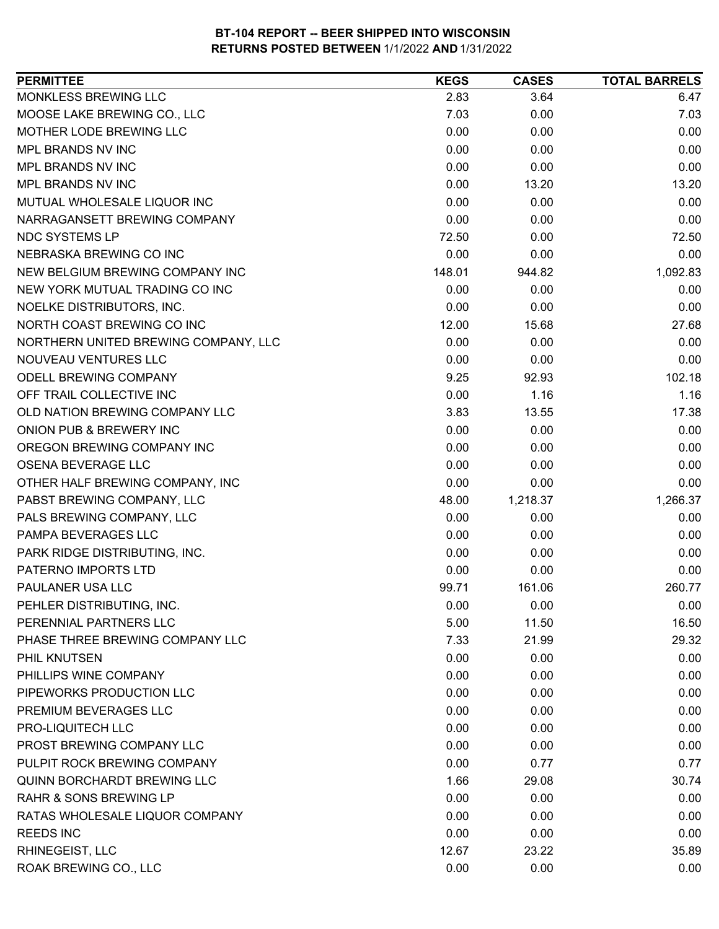| MONKLESS BREWING LLC<br>2.83<br>3.64<br>6.47<br>MOOSE LAKE BREWING CO., LLC<br>7.03<br>0.00<br>7.03<br>0.00<br>MOTHER LODE BREWING LLC<br>0.00<br>0.00<br>MPL BRANDS NV INC<br>0.00<br>0.00<br>0.00<br>0.00<br>0.00<br>MPL BRANDS NV INC<br>0.00<br>MPL BRANDS NV INC<br>0.00<br>13.20<br>13.20<br>MUTUAL WHOLESALE LIQUOR INC<br>0.00<br>0.00<br>0.00<br>NARRAGANSETT BREWING COMPANY<br>0.00<br>0.00<br>0.00<br><b>NDC SYSTEMS LP</b><br>72.50<br>0.00<br>72.50<br>0.00<br>0.00<br>NEBRASKA BREWING CO INC<br>0.00<br>1,092.83<br>NEW BELGIUM BREWING COMPANY INC<br>148.01<br>944.82<br>NEW YORK MUTUAL TRADING CO INC<br>0.00<br>0.00<br>0.00<br>NOELKE DISTRIBUTORS, INC.<br>0.00<br>0.00<br>0.00<br>NORTH COAST BREWING CO INC<br>12.00<br>27.68<br>15.68<br>NORTHERN UNITED BREWING COMPANY, LLC<br>0.00<br>0.00<br>0.00<br>NOUVEAU VENTURES LLC<br>0.00<br>0.00<br>0.00<br>102.18<br>ODELL BREWING COMPANY<br>9.25<br>92.93<br>OFF TRAIL COLLECTIVE INC<br>0.00<br>1.16<br>1.16<br>OLD NATION BREWING COMPANY LLC<br>3.83<br>17.38<br>13.55<br>ONION PUB & BREWERY INC<br>0.00<br>0.00<br>0.00<br>OREGON BREWING COMPANY INC<br>0.00<br>0.00<br>0.00<br>OSENA BEVERAGE LLC<br>0.00<br>0.00<br>0.00<br>OTHER HALF BREWING COMPANY, INC<br>0.00<br>0.00<br>0.00<br>PABST BREWING COMPANY, LLC<br>1,266.37<br>48.00<br>1,218.37<br>0.00<br>PALS BREWING COMPANY, LLC<br>0.00<br>0.00<br>PAMPA BEVERAGES LLC<br>0.00<br>0.00<br>0.00<br>PARK RIDGE DISTRIBUTING, INC.<br>0.00<br>0.00<br>0.00<br>PATERNO IMPORTS LTD<br>0.00<br>0.00<br>0.00<br>161.06<br>260.77<br>PAULANER USA LLC<br>99.71<br>PEHLER DISTRIBUTING, INC.<br>0.00<br>0.00<br>0.00<br>5.00<br>11.50<br>16.50<br>PHASE THREE BREWING COMPANY LLC<br>29.32<br>7.33<br>21.99<br>0.00<br>PHIL KNUTSEN<br>0.00<br>0.00<br>PHILLIPS WINE COMPANY<br>0.00<br>0.00<br>0.00<br>PIPEWORKS PRODUCTION LLC<br>0.00<br>0.00<br>0.00<br>PREMIUM BEVERAGES LLC<br>0.00<br>0.00<br>0.00<br>PRO-LIQUITECH LLC<br>0.00<br>0.00<br>0.00<br>PROST BREWING COMPANY LLC<br>0.00<br>0.00<br>0.00<br>PULPIT ROCK BREWING COMPANY<br>0.00<br>0.77<br>0.77<br>1.66<br><b>QUINN BORCHARDT BREWING LLC</b><br>29.08<br>30.74<br><b>RAHR &amp; SONS BREWING LP</b><br>0.00<br>0.00<br>0.00<br>RATAS WHOLESALE LIQUOR COMPANY<br>0.00<br>0.00<br>0.00<br><b>REEDS INC</b><br>0.00<br>0.00<br>0.00<br>12.67<br>23.22<br>35.89<br><b>RHINEGEIST, LLC</b><br>ROAK BREWING CO., LLC<br>0.00<br>0.00<br>0.00 | <b>PERMITTEE</b>       | <b>KEGS</b> | <b>CASES</b> | <b>TOTAL BARRELS</b> |
|-----------------------------------------------------------------------------------------------------------------------------------------------------------------------------------------------------------------------------------------------------------------------------------------------------------------------------------------------------------------------------------------------------------------------------------------------------------------------------------------------------------------------------------------------------------------------------------------------------------------------------------------------------------------------------------------------------------------------------------------------------------------------------------------------------------------------------------------------------------------------------------------------------------------------------------------------------------------------------------------------------------------------------------------------------------------------------------------------------------------------------------------------------------------------------------------------------------------------------------------------------------------------------------------------------------------------------------------------------------------------------------------------------------------------------------------------------------------------------------------------------------------------------------------------------------------------------------------------------------------------------------------------------------------------------------------------------------------------------------------------------------------------------------------------------------------------------------------------------------------------------------------------------------------------------------------------------------------------------------------------------------------------------------------------------------------------------------------------------------------------------------------------------------------------------------------------------------------------------------------------------------------------------------------------------------------------------------------------------------------------------------------------------------------------------------------------|------------------------|-------------|--------------|----------------------|
|                                                                                                                                                                                                                                                                                                                                                                                                                                                                                                                                                                                                                                                                                                                                                                                                                                                                                                                                                                                                                                                                                                                                                                                                                                                                                                                                                                                                                                                                                                                                                                                                                                                                                                                                                                                                                                                                                                                                                                                                                                                                                                                                                                                                                                                                                                                                                                                                                                               |                        |             |              |                      |
|                                                                                                                                                                                                                                                                                                                                                                                                                                                                                                                                                                                                                                                                                                                                                                                                                                                                                                                                                                                                                                                                                                                                                                                                                                                                                                                                                                                                                                                                                                                                                                                                                                                                                                                                                                                                                                                                                                                                                                                                                                                                                                                                                                                                                                                                                                                                                                                                                                               |                        |             |              |                      |
|                                                                                                                                                                                                                                                                                                                                                                                                                                                                                                                                                                                                                                                                                                                                                                                                                                                                                                                                                                                                                                                                                                                                                                                                                                                                                                                                                                                                                                                                                                                                                                                                                                                                                                                                                                                                                                                                                                                                                                                                                                                                                                                                                                                                                                                                                                                                                                                                                                               |                        |             |              |                      |
|                                                                                                                                                                                                                                                                                                                                                                                                                                                                                                                                                                                                                                                                                                                                                                                                                                                                                                                                                                                                                                                                                                                                                                                                                                                                                                                                                                                                                                                                                                                                                                                                                                                                                                                                                                                                                                                                                                                                                                                                                                                                                                                                                                                                                                                                                                                                                                                                                                               |                        |             |              |                      |
|                                                                                                                                                                                                                                                                                                                                                                                                                                                                                                                                                                                                                                                                                                                                                                                                                                                                                                                                                                                                                                                                                                                                                                                                                                                                                                                                                                                                                                                                                                                                                                                                                                                                                                                                                                                                                                                                                                                                                                                                                                                                                                                                                                                                                                                                                                                                                                                                                                               |                        |             |              |                      |
|                                                                                                                                                                                                                                                                                                                                                                                                                                                                                                                                                                                                                                                                                                                                                                                                                                                                                                                                                                                                                                                                                                                                                                                                                                                                                                                                                                                                                                                                                                                                                                                                                                                                                                                                                                                                                                                                                                                                                                                                                                                                                                                                                                                                                                                                                                                                                                                                                                               |                        |             |              |                      |
|                                                                                                                                                                                                                                                                                                                                                                                                                                                                                                                                                                                                                                                                                                                                                                                                                                                                                                                                                                                                                                                                                                                                                                                                                                                                                                                                                                                                                                                                                                                                                                                                                                                                                                                                                                                                                                                                                                                                                                                                                                                                                                                                                                                                                                                                                                                                                                                                                                               |                        |             |              |                      |
|                                                                                                                                                                                                                                                                                                                                                                                                                                                                                                                                                                                                                                                                                                                                                                                                                                                                                                                                                                                                                                                                                                                                                                                                                                                                                                                                                                                                                                                                                                                                                                                                                                                                                                                                                                                                                                                                                                                                                                                                                                                                                                                                                                                                                                                                                                                                                                                                                                               |                        |             |              |                      |
|                                                                                                                                                                                                                                                                                                                                                                                                                                                                                                                                                                                                                                                                                                                                                                                                                                                                                                                                                                                                                                                                                                                                                                                                                                                                                                                                                                                                                                                                                                                                                                                                                                                                                                                                                                                                                                                                                                                                                                                                                                                                                                                                                                                                                                                                                                                                                                                                                                               |                        |             |              |                      |
|                                                                                                                                                                                                                                                                                                                                                                                                                                                                                                                                                                                                                                                                                                                                                                                                                                                                                                                                                                                                                                                                                                                                                                                                                                                                                                                                                                                                                                                                                                                                                                                                                                                                                                                                                                                                                                                                                                                                                                                                                                                                                                                                                                                                                                                                                                                                                                                                                                               |                        |             |              |                      |
|                                                                                                                                                                                                                                                                                                                                                                                                                                                                                                                                                                                                                                                                                                                                                                                                                                                                                                                                                                                                                                                                                                                                                                                                                                                                                                                                                                                                                                                                                                                                                                                                                                                                                                                                                                                                                                                                                                                                                                                                                                                                                                                                                                                                                                                                                                                                                                                                                                               |                        |             |              |                      |
|                                                                                                                                                                                                                                                                                                                                                                                                                                                                                                                                                                                                                                                                                                                                                                                                                                                                                                                                                                                                                                                                                                                                                                                                                                                                                                                                                                                                                                                                                                                                                                                                                                                                                                                                                                                                                                                                                                                                                                                                                                                                                                                                                                                                                                                                                                                                                                                                                                               |                        |             |              |                      |
|                                                                                                                                                                                                                                                                                                                                                                                                                                                                                                                                                                                                                                                                                                                                                                                                                                                                                                                                                                                                                                                                                                                                                                                                                                                                                                                                                                                                                                                                                                                                                                                                                                                                                                                                                                                                                                                                                                                                                                                                                                                                                                                                                                                                                                                                                                                                                                                                                                               |                        |             |              |                      |
|                                                                                                                                                                                                                                                                                                                                                                                                                                                                                                                                                                                                                                                                                                                                                                                                                                                                                                                                                                                                                                                                                                                                                                                                                                                                                                                                                                                                                                                                                                                                                                                                                                                                                                                                                                                                                                                                                                                                                                                                                                                                                                                                                                                                                                                                                                                                                                                                                                               |                        |             |              |                      |
|                                                                                                                                                                                                                                                                                                                                                                                                                                                                                                                                                                                                                                                                                                                                                                                                                                                                                                                                                                                                                                                                                                                                                                                                                                                                                                                                                                                                                                                                                                                                                                                                                                                                                                                                                                                                                                                                                                                                                                                                                                                                                                                                                                                                                                                                                                                                                                                                                                               |                        |             |              |                      |
|                                                                                                                                                                                                                                                                                                                                                                                                                                                                                                                                                                                                                                                                                                                                                                                                                                                                                                                                                                                                                                                                                                                                                                                                                                                                                                                                                                                                                                                                                                                                                                                                                                                                                                                                                                                                                                                                                                                                                                                                                                                                                                                                                                                                                                                                                                                                                                                                                                               |                        |             |              |                      |
|                                                                                                                                                                                                                                                                                                                                                                                                                                                                                                                                                                                                                                                                                                                                                                                                                                                                                                                                                                                                                                                                                                                                                                                                                                                                                                                                                                                                                                                                                                                                                                                                                                                                                                                                                                                                                                                                                                                                                                                                                                                                                                                                                                                                                                                                                                                                                                                                                                               |                        |             |              |                      |
|                                                                                                                                                                                                                                                                                                                                                                                                                                                                                                                                                                                                                                                                                                                                                                                                                                                                                                                                                                                                                                                                                                                                                                                                                                                                                                                                                                                                                                                                                                                                                                                                                                                                                                                                                                                                                                                                                                                                                                                                                                                                                                                                                                                                                                                                                                                                                                                                                                               |                        |             |              |                      |
|                                                                                                                                                                                                                                                                                                                                                                                                                                                                                                                                                                                                                                                                                                                                                                                                                                                                                                                                                                                                                                                                                                                                                                                                                                                                                                                                                                                                                                                                                                                                                                                                                                                                                                                                                                                                                                                                                                                                                                                                                                                                                                                                                                                                                                                                                                                                                                                                                                               |                        |             |              |                      |
|                                                                                                                                                                                                                                                                                                                                                                                                                                                                                                                                                                                                                                                                                                                                                                                                                                                                                                                                                                                                                                                                                                                                                                                                                                                                                                                                                                                                                                                                                                                                                                                                                                                                                                                                                                                                                                                                                                                                                                                                                                                                                                                                                                                                                                                                                                                                                                                                                                               |                        |             |              |                      |
|                                                                                                                                                                                                                                                                                                                                                                                                                                                                                                                                                                                                                                                                                                                                                                                                                                                                                                                                                                                                                                                                                                                                                                                                                                                                                                                                                                                                                                                                                                                                                                                                                                                                                                                                                                                                                                                                                                                                                                                                                                                                                                                                                                                                                                                                                                                                                                                                                                               |                        |             |              |                      |
|                                                                                                                                                                                                                                                                                                                                                                                                                                                                                                                                                                                                                                                                                                                                                                                                                                                                                                                                                                                                                                                                                                                                                                                                                                                                                                                                                                                                                                                                                                                                                                                                                                                                                                                                                                                                                                                                                                                                                                                                                                                                                                                                                                                                                                                                                                                                                                                                                                               |                        |             |              |                      |
|                                                                                                                                                                                                                                                                                                                                                                                                                                                                                                                                                                                                                                                                                                                                                                                                                                                                                                                                                                                                                                                                                                                                                                                                                                                                                                                                                                                                                                                                                                                                                                                                                                                                                                                                                                                                                                                                                                                                                                                                                                                                                                                                                                                                                                                                                                                                                                                                                                               |                        |             |              |                      |
|                                                                                                                                                                                                                                                                                                                                                                                                                                                                                                                                                                                                                                                                                                                                                                                                                                                                                                                                                                                                                                                                                                                                                                                                                                                                                                                                                                                                                                                                                                                                                                                                                                                                                                                                                                                                                                                                                                                                                                                                                                                                                                                                                                                                                                                                                                                                                                                                                                               |                        |             |              |                      |
|                                                                                                                                                                                                                                                                                                                                                                                                                                                                                                                                                                                                                                                                                                                                                                                                                                                                                                                                                                                                                                                                                                                                                                                                                                                                                                                                                                                                                                                                                                                                                                                                                                                                                                                                                                                                                                                                                                                                                                                                                                                                                                                                                                                                                                                                                                                                                                                                                                               |                        |             |              |                      |
|                                                                                                                                                                                                                                                                                                                                                                                                                                                                                                                                                                                                                                                                                                                                                                                                                                                                                                                                                                                                                                                                                                                                                                                                                                                                                                                                                                                                                                                                                                                                                                                                                                                                                                                                                                                                                                                                                                                                                                                                                                                                                                                                                                                                                                                                                                                                                                                                                                               |                        |             |              |                      |
|                                                                                                                                                                                                                                                                                                                                                                                                                                                                                                                                                                                                                                                                                                                                                                                                                                                                                                                                                                                                                                                                                                                                                                                                                                                                                                                                                                                                                                                                                                                                                                                                                                                                                                                                                                                                                                                                                                                                                                                                                                                                                                                                                                                                                                                                                                                                                                                                                                               |                        |             |              |                      |
|                                                                                                                                                                                                                                                                                                                                                                                                                                                                                                                                                                                                                                                                                                                                                                                                                                                                                                                                                                                                                                                                                                                                                                                                                                                                                                                                                                                                                                                                                                                                                                                                                                                                                                                                                                                                                                                                                                                                                                                                                                                                                                                                                                                                                                                                                                                                                                                                                                               |                        |             |              |                      |
|                                                                                                                                                                                                                                                                                                                                                                                                                                                                                                                                                                                                                                                                                                                                                                                                                                                                                                                                                                                                                                                                                                                                                                                                                                                                                                                                                                                                                                                                                                                                                                                                                                                                                                                                                                                                                                                                                                                                                                                                                                                                                                                                                                                                                                                                                                                                                                                                                                               |                        |             |              |                      |
|                                                                                                                                                                                                                                                                                                                                                                                                                                                                                                                                                                                                                                                                                                                                                                                                                                                                                                                                                                                                                                                                                                                                                                                                                                                                                                                                                                                                                                                                                                                                                                                                                                                                                                                                                                                                                                                                                                                                                                                                                                                                                                                                                                                                                                                                                                                                                                                                                                               |                        |             |              |                      |
|                                                                                                                                                                                                                                                                                                                                                                                                                                                                                                                                                                                                                                                                                                                                                                                                                                                                                                                                                                                                                                                                                                                                                                                                                                                                                                                                                                                                                                                                                                                                                                                                                                                                                                                                                                                                                                                                                                                                                                                                                                                                                                                                                                                                                                                                                                                                                                                                                                               | PERENNIAL PARTNERS LLC |             |              |                      |
|                                                                                                                                                                                                                                                                                                                                                                                                                                                                                                                                                                                                                                                                                                                                                                                                                                                                                                                                                                                                                                                                                                                                                                                                                                                                                                                                                                                                                                                                                                                                                                                                                                                                                                                                                                                                                                                                                                                                                                                                                                                                                                                                                                                                                                                                                                                                                                                                                                               |                        |             |              |                      |
|                                                                                                                                                                                                                                                                                                                                                                                                                                                                                                                                                                                                                                                                                                                                                                                                                                                                                                                                                                                                                                                                                                                                                                                                                                                                                                                                                                                                                                                                                                                                                                                                                                                                                                                                                                                                                                                                                                                                                                                                                                                                                                                                                                                                                                                                                                                                                                                                                                               |                        |             |              |                      |
|                                                                                                                                                                                                                                                                                                                                                                                                                                                                                                                                                                                                                                                                                                                                                                                                                                                                                                                                                                                                                                                                                                                                                                                                                                                                                                                                                                                                                                                                                                                                                                                                                                                                                                                                                                                                                                                                                                                                                                                                                                                                                                                                                                                                                                                                                                                                                                                                                                               |                        |             |              |                      |
|                                                                                                                                                                                                                                                                                                                                                                                                                                                                                                                                                                                                                                                                                                                                                                                                                                                                                                                                                                                                                                                                                                                                                                                                                                                                                                                                                                                                                                                                                                                                                                                                                                                                                                                                                                                                                                                                                                                                                                                                                                                                                                                                                                                                                                                                                                                                                                                                                                               |                        |             |              |                      |
|                                                                                                                                                                                                                                                                                                                                                                                                                                                                                                                                                                                                                                                                                                                                                                                                                                                                                                                                                                                                                                                                                                                                                                                                                                                                                                                                                                                                                                                                                                                                                                                                                                                                                                                                                                                                                                                                                                                                                                                                                                                                                                                                                                                                                                                                                                                                                                                                                                               |                        |             |              |                      |
|                                                                                                                                                                                                                                                                                                                                                                                                                                                                                                                                                                                                                                                                                                                                                                                                                                                                                                                                                                                                                                                                                                                                                                                                                                                                                                                                                                                                                                                                                                                                                                                                                                                                                                                                                                                                                                                                                                                                                                                                                                                                                                                                                                                                                                                                                                                                                                                                                                               |                        |             |              |                      |
|                                                                                                                                                                                                                                                                                                                                                                                                                                                                                                                                                                                                                                                                                                                                                                                                                                                                                                                                                                                                                                                                                                                                                                                                                                                                                                                                                                                                                                                                                                                                                                                                                                                                                                                                                                                                                                                                                                                                                                                                                                                                                                                                                                                                                                                                                                                                                                                                                                               |                        |             |              |                      |
|                                                                                                                                                                                                                                                                                                                                                                                                                                                                                                                                                                                                                                                                                                                                                                                                                                                                                                                                                                                                                                                                                                                                                                                                                                                                                                                                                                                                                                                                                                                                                                                                                                                                                                                                                                                                                                                                                                                                                                                                                                                                                                                                                                                                                                                                                                                                                                                                                                               |                        |             |              |                      |
|                                                                                                                                                                                                                                                                                                                                                                                                                                                                                                                                                                                                                                                                                                                                                                                                                                                                                                                                                                                                                                                                                                                                                                                                                                                                                                                                                                                                                                                                                                                                                                                                                                                                                                                                                                                                                                                                                                                                                                                                                                                                                                                                                                                                                                                                                                                                                                                                                                               |                        |             |              |                      |
|                                                                                                                                                                                                                                                                                                                                                                                                                                                                                                                                                                                                                                                                                                                                                                                                                                                                                                                                                                                                                                                                                                                                                                                                                                                                                                                                                                                                                                                                                                                                                                                                                                                                                                                                                                                                                                                                                                                                                                                                                                                                                                                                                                                                                                                                                                                                                                                                                                               |                        |             |              |                      |
|                                                                                                                                                                                                                                                                                                                                                                                                                                                                                                                                                                                                                                                                                                                                                                                                                                                                                                                                                                                                                                                                                                                                                                                                                                                                                                                                                                                                                                                                                                                                                                                                                                                                                                                                                                                                                                                                                                                                                                                                                                                                                                                                                                                                                                                                                                                                                                                                                                               |                        |             |              |                      |
|                                                                                                                                                                                                                                                                                                                                                                                                                                                                                                                                                                                                                                                                                                                                                                                                                                                                                                                                                                                                                                                                                                                                                                                                                                                                                                                                                                                                                                                                                                                                                                                                                                                                                                                                                                                                                                                                                                                                                                                                                                                                                                                                                                                                                                                                                                                                                                                                                                               |                        |             |              |                      |
|                                                                                                                                                                                                                                                                                                                                                                                                                                                                                                                                                                                                                                                                                                                                                                                                                                                                                                                                                                                                                                                                                                                                                                                                                                                                                                                                                                                                                                                                                                                                                                                                                                                                                                                                                                                                                                                                                                                                                                                                                                                                                                                                                                                                                                                                                                                                                                                                                                               |                        |             |              |                      |
|                                                                                                                                                                                                                                                                                                                                                                                                                                                                                                                                                                                                                                                                                                                                                                                                                                                                                                                                                                                                                                                                                                                                                                                                                                                                                                                                                                                                                                                                                                                                                                                                                                                                                                                                                                                                                                                                                                                                                                                                                                                                                                                                                                                                                                                                                                                                                                                                                                               |                        |             |              |                      |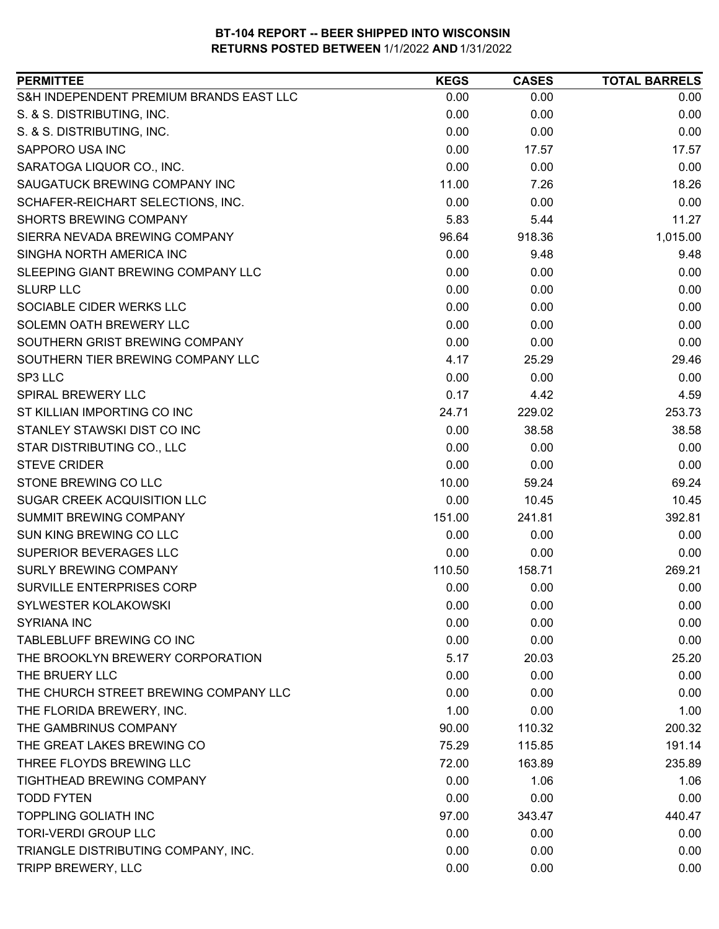| <b>PERMITTEE</b>                        | <b>KEGS</b> | <b>CASES</b> | <b>TOTAL BARRELS</b> |
|-----------------------------------------|-------------|--------------|----------------------|
| S&H INDEPENDENT PREMIUM BRANDS EAST LLC | 0.00        | 0.00         | 0.00                 |
| S. & S. DISTRIBUTING, INC.              | 0.00        | 0.00         | 0.00                 |
| S. & S. DISTRIBUTING, INC.              | 0.00        | 0.00         | 0.00                 |
| SAPPORO USA INC                         | 0.00        | 17.57        | 17.57                |
| SARATOGA LIQUOR CO., INC.               | 0.00        | 0.00         | 0.00                 |
| SAUGATUCK BREWING COMPANY INC           | 11.00       | 7.26         | 18.26                |
| SCHAFER-REICHART SELECTIONS, INC.       | 0.00        | 0.00         | 0.00                 |
| <b>SHORTS BREWING COMPANY</b>           | 5.83        | 5.44         | 11.27                |
| SIERRA NEVADA BREWING COMPANY           | 96.64       | 918.36       | 1,015.00             |
| SINGHA NORTH AMERICA INC                | 0.00        | 9.48         | 9.48                 |
| SLEEPING GIANT BREWING COMPANY LLC      | 0.00        | 0.00         | 0.00                 |
| <b>SLURP LLC</b>                        | 0.00        | 0.00         | 0.00                 |
| SOCIABLE CIDER WERKS LLC                | 0.00        | 0.00         | 0.00                 |
| SOLEMN OATH BREWERY LLC                 | 0.00        | 0.00         | 0.00                 |
| SOUTHERN GRIST BREWING COMPANY          | 0.00        | 0.00         | 0.00                 |
| SOUTHERN TIER BREWING COMPANY LLC       | 4.17        | 25.29        | 29.46                |
| SP3 LLC                                 | 0.00        | 0.00         | 0.00                 |
| SPIRAL BREWERY LLC                      | 0.17        | 4.42         | 4.59                 |
| ST KILLIAN IMPORTING CO INC             | 24.71       | 229.02       | 253.73               |
| STANLEY STAWSKI DIST CO INC             | 0.00        | 38.58        | 38.58                |
| STAR DISTRIBUTING CO., LLC              | 0.00        | 0.00         | 0.00                 |
| <b>STEVE CRIDER</b>                     | 0.00        | 0.00         | 0.00                 |
| STONE BREWING CO LLC                    | 10.00       | 59.24        | 69.24                |
| SUGAR CREEK ACQUISITION LLC             | 0.00        | 10.45        | 10.45                |
| <b>SUMMIT BREWING COMPANY</b>           | 151.00      | 241.81       | 392.81               |
| SUN KING BREWING CO LLC                 | 0.00        | 0.00         | 0.00                 |
| <b>SUPERIOR BEVERAGES LLC</b>           | 0.00        | 0.00         | 0.00                 |
| <b>SURLY BREWING COMPANY</b>            | 110.50      | 158.71       | 269.21               |
| SURVILLE ENTERPRISES CORP               | 0.00        | 0.00         | 0.00                 |
| SYLWESTER KOLAKOWSKI                    | 0.00        | 0.00         | 0.00                 |
| <b>SYRIANA INC</b>                      | 0.00        | 0.00         | 0.00                 |
| TABLEBLUFF BREWING CO INC               | 0.00        | 0.00         | 0.00                 |
| THE BROOKLYN BREWERY CORPORATION        | 5.17        | 20.03        | 25.20                |
| THE BRUERY LLC                          | 0.00        | 0.00         | 0.00                 |
| THE CHURCH STREET BREWING COMPANY LLC   | 0.00        | 0.00         | 0.00                 |
| THE FLORIDA BREWERY, INC.               | 1.00        | 0.00         | 1.00                 |
| THE GAMBRINUS COMPANY                   | 90.00       | 110.32       | 200.32               |
| THE GREAT LAKES BREWING CO              | 75.29       | 115.85       | 191.14               |
| THREE FLOYDS BREWING LLC                | 72.00       | 163.89       | 235.89               |
| TIGHTHEAD BREWING COMPANY               | 0.00        | 1.06         | 1.06                 |
| <b>TODD FYTEN</b>                       | 0.00        | 0.00         | 0.00                 |
| <b>TOPPLING GOLIATH INC</b>             | 97.00       | 343.47       | 440.47               |
| <b>TORI-VERDI GROUP LLC</b>             | 0.00        | 0.00         | 0.00                 |
| TRIANGLE DISTRIBUTING COMPANY, INC.     | 0.00        | 0.00         | 0.00                 |
| TRIPP BREWERY, LLC                      | 0.00        | 0.00         | 0.00                 |